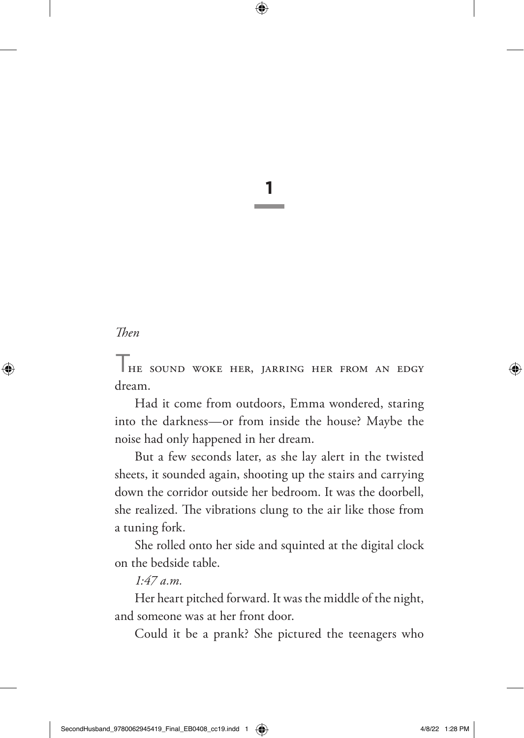## **1**

⊕

## *Then*

⊕

HE SOUND WOKE HER, JARRING HER FROM AN EDGY dream.

Had it come from outdoors, Emma wondered, staring into the darkness—or from inside the house? Maybe the noise had only happened in her dream.

But a few seconds later, as she lay alert in the twisted sheets, it sounded again, shooting up the stairs and carrying down the corridor outside her bedroom. It was the doorbell, she realized. The vibrations clung to the air like those from a tuning fork.

She rolled onto her side and squinted at the digital clock on the bedside table.

## *1:47 a.m.*

Her heart pitched forward. It was the middle of the night, and someone was at her front door.

Could it be a prank? She pictured the teenagers who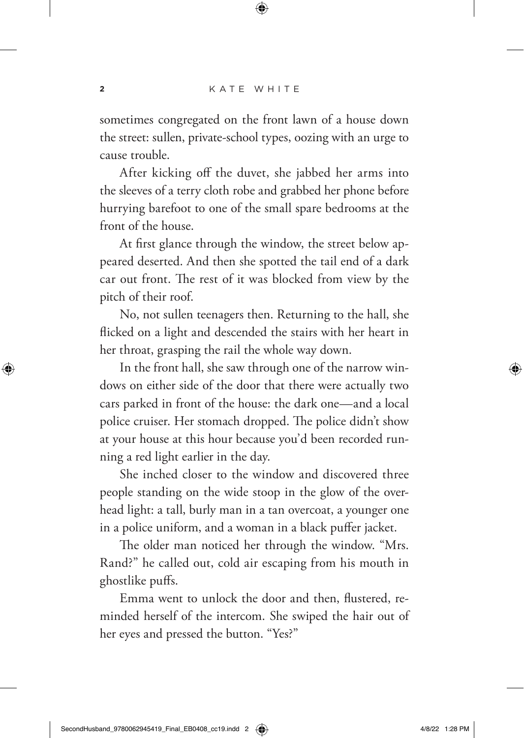sometimes congregated on the front lawn of a house down the street: sullen, private-school types, oozing with an urge to cause trouble.

After kicking off the duvet, she jabbed her arms into the sleeves of a terry cloth robe and grabbed her phone before hurrying barefoot to one of the small spare bedrooms at the front of the house.

At first glance through the window, the street below appeared deserted. And then she spotted the tail end of a dark car out front. The rest of it was blocked from view by the pitch of their roof.

No, not sullen teenagers then. Returning to the hall, she flicked on a light and descended the stairs with her heart in her throat, grasping the rail the whole way down.

In the front hall, she saw through one of the narrow windows on either side of the door that there were actually two cars parked in front of the house: the dark one—and a local police cruiser. Her stomach dropped. The police didn't show at your house at this hour because you'd been recorded running a red light earlier in the day.

She inched closer to the window and discovered three people standing on the wide stoop in the glow of the overhead light: a tall, burly man in a tan overcoat, a younger one in a police uniform, and a woman in a black puffer jacket.

The older man noticed her through the window. "Mrs. Rand?" he called out, cold air escaping from his mouth in ghostlike puffs.

Emma went to unlock the door and then, flustered, reminded herself of the intercom. She swiped the hair out of her eyes and pressed the button. "Yes?"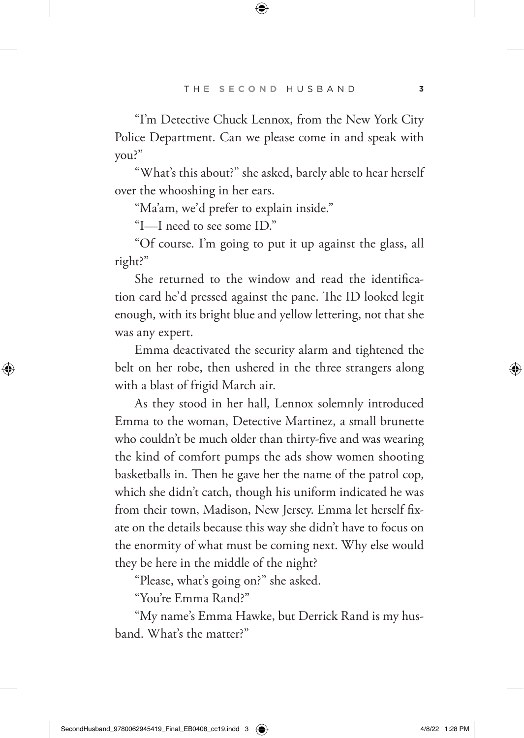$\bigoplus$ 

"I'm Detective Chuck Lennox, from the New York City Police Department. Can we please come in and speak with you?"

"What's this about?" she asked, barely able to hear herself over the whooshing in her ears.

"Ma'am, we'd prefer to explain inside."

"I—I need to see some ID."

⊕

"Of course. I'm going to put it up against the glass, all right?"

She returned to the window and read the identification card he'd pressed against the pane. The ID looked legit enough, with its bright blue and yellow lettering, not that she was any expert.

Emma deactivated the security alarm and tightened the belt on her robe, then ushered in the three strangers along with a blast of frigid March air.

As they stood in her hall, Lennox solemnly introduced Emma to the woman, Detective Martinez, a small brunette who couldn't be much older than thirty-five and was wearing the kind of comfort pumps the ads show women shooting basketballs in. Then he gave her the name of the patrol cop, which she didn't catch, though his uniform indicated he was from their town, Madison, New Jersey. Emma let herself fixate on the details because this way she didn't have to focus on the enormity of what must be coming next. Why else would they be here in the middle of the night?

"Please, what's going on?" she asked.

"You're Emma Rand?"

"My name's Emma Hawke, but Derrick Rand is my husband. What's the matter?"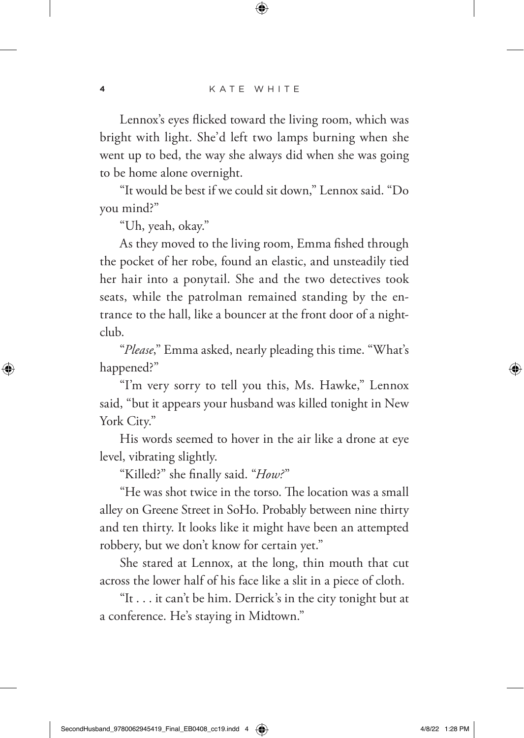Lennox's eyes flicked toward the living room, which was bright with light. She'd left two lamps burning when she went up to bed, the way she always did when she was going to be home alone overnight.

"It would be best if we could sit down," Lennox said. "Do you mind?"

"Uh, yeah, okay."

As they moved to the living room, Emma fished through the pocket of her robe, found an elastic, and unsteadily tied her hair into a ponytail. She and the two detectives took seats, while the patrolman remained standing by the entrance to the hall, like a bouncer at the front door of a nightclub.

"*Please*," Emma asked, nearly pleading this time. "What's happened?"

"I'm very sorry to tell you this, Ms. Hawke," Lennox said, "but it appears your husband was killed tonight in New York City."

His words seemed to hover in the air like a drone at eye level, vibrating slightly.

"Killed?" she finally said. "*How?*"

"He was shot twice in the torso. The location was a small alley on Greene Street in SoHo. Probably between nine thirty and ten thirty. It looks like it might have been an attempted robbery, but we don't know for certain yet."

She stared at Lennox, at the long, thin mouth that cut across the lower half of his face like a slit in a piece of cloth.

"It . . . it can't be him. Derrick's in the city tonight but at a conference. He's staying in Midtown."

⊕

↔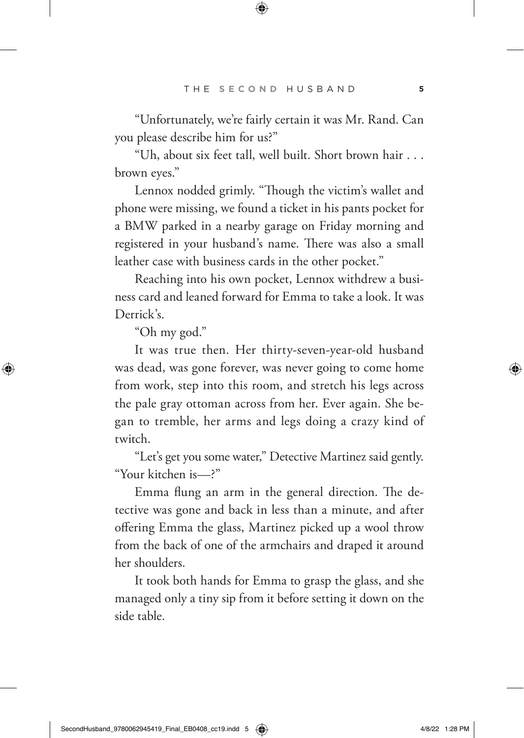"Unfortunately, we're fairly certain it was Mr. Rand. Can you please describe him for us?"

"Uh, about six feet tall, well built. Short brown hair . . . brown eyes."

Lennox nodded grimly. "Though the victim's wallet and phone were missing, we found a ticket in his pants pocket for a BMW parked in a nearby garage on Friday morning and registered in your husband's name. There was also a small leather case with business cards in the other pocket."

Reaching into his own pocket, Lennox withdrew a business card and leaned forward for Emma to take a look. It was Derrick's.

"Oh my god."

⊕

It was true then. Her thirty-seven-year-old husband was dead, was gone forever, was never going to come home from work, step into this room, and stretch his legs across the pale gray ottoman across from her. Ever again. She began to tremble, her arms and legs doing a crazy kind of twitch.

"Let's get you some water," Detective Martinez said gently. "Your kitchen is—?"

Emma flung an arm in the general direction. The detective was gone and back in less than a minute, and after offering Emma the glass, Martinez picked up a wool throw from the back of one of the armchairs and draped it around her shoulders.

It took both hands for Emma to grasp the glass, and she managed only a tiny sip from it before setting it down on the side table.

↔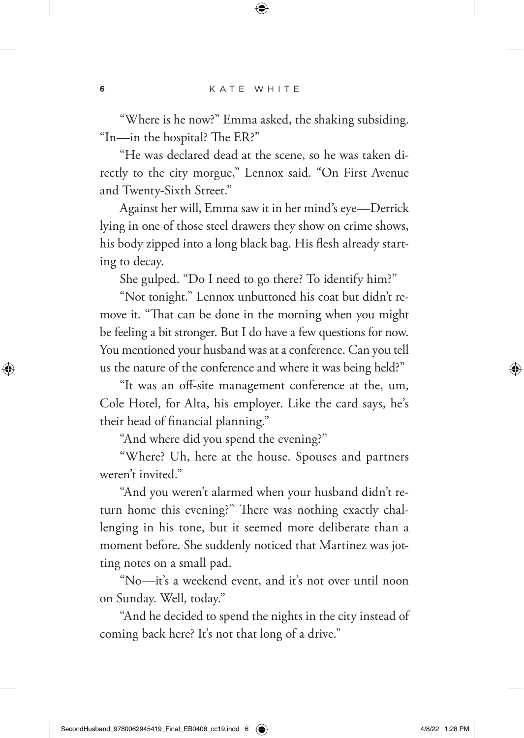"Where is he now?" Emma asked, the shaking subsiding. "In—in the hospital? The ER?"

"He was declared dead at the scene, so he was taken directly to the city morgue," Lennox said. "On First Avenue and Twenty-Sixth Street."

Against her will, Emma saw it in her mind's eye—Derrick lying in one of those steel drawers they show on crime shows, his body zipped into a long black bag. His flesh already starting to decay.

She gulped. "Do I need to go there? To identify him?"

"Not tonight." Lennox unbuttoned his coat but didn't remove it. "That can be done in the morning when you might be feeling a bit stronger. But I do have a few questions for now. You mentioned your husband was at a conference. Can you tell us the nature of the conference and where it was being held?"

"It was an off-site management conference at the, um, Cole Hotel, for Alta, his employer. Like the card says, he's their head of financial planning."

"And where did you spend the evening?"

"Where? Uh, here at the house. Spouses and partners weren't invited."

"And you weren't alarmed when your husband didn't return home this evening?" There was nothing exactly challenging in his tone, but it seemed more deliberate than a moment before. She suddenly noticed that Martinez was jotting notes on a small pad.

"No—it's a weekend event, and it's not over until noon on Sunday. Well, today."

"And he decided to spend the nights in the city instead of coming back here? It's not that long of a drive."

⇔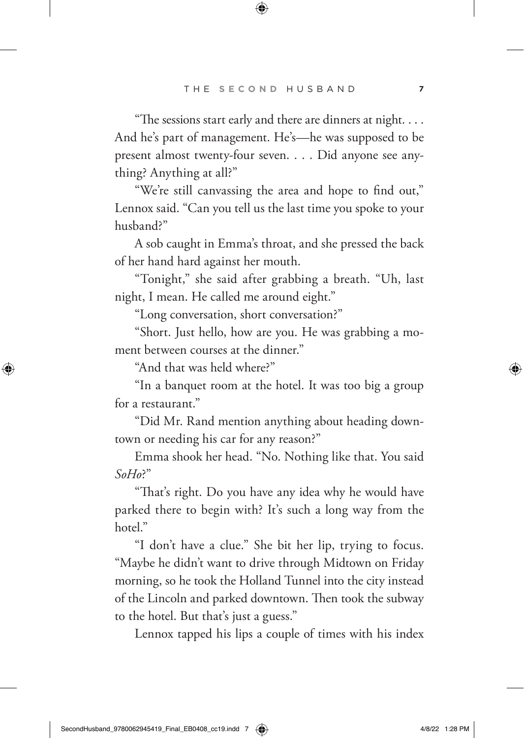"The sessions start early and there are dinners at night. . . . And he's part of management. He's—he was supposed to be present almost twenty-four seven. . . . Did anyone see anything? Anything at all?"

"We're still canvassing the area and hope to find out," Lennox said. "Can you tell us the last time you spoke to your husband?"

A sob caught in Emma's throat, and she pressed the back of her hand hard against her mouth.

"Tonight," she said after grabbing a breath. "Uh, last night, I mean. He called me around eight."

"Long conversation, short conversation?"

"Short. Just hello, how are you. He was grabbing a moment between courses at the dinner."

"And that was held where?"

⊕

"In a banquet room at the hotel. It was too big a group for a restaurant."

"Did Mr. Rand mention anything about heading downtown or needing his car for any reason?"

Emma shook her head. "No. Nothing like that. You said *SoHo*?"

"That's right. Do you have any idea why he would have parked there to begin with? It's such a long way from the hotel."

"I don't have a clue." She bit her lip, trying to focus. "Maybe he didn't want to drive through Midtown on Friday morning, so he took the Holland Tunnel into the city instead of the Lincoln and parked downtown. Then took the subway to the hotel. But that's just a guess."

Lennox tapped his lips a couple of times with his index

↔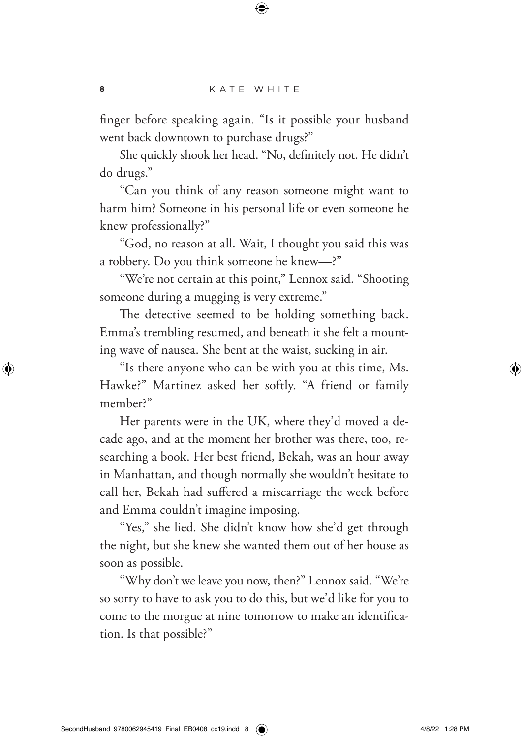finger before speaking again. "Is it possible your husband went back downtown to purchase drugs?"

She quickly shook her head. "No, definitely not. He didn't do drugs."

"Can you think of any reason someone might want to harm him? Someone in his personal life or even someone he knew professionally?"

"God, no reason at all. Wait, I thought you said this was a robbery. Do you think someone he knew—?"

"We're not certain at this point," Lennox said. "Shooting someone during a mugging is very extreme."

The detective seemed to be holding something back. Emma's trembling resumed, and beneath it she felt a mounting wave of nausea. She bent at the waist, sucking in air.

"Is there anyone who can be with you at this time, Ms. Hawke?" Martinez asked her softly. "A friend or family member?"

Her parents were in the UK, where they'd moved a decade ago, and at the moment her brother was there, too, researching a book. Her best friend, Bekah, was an hour away in Manhattan, and though normally she wouldn't hesitate to call her, Bekah had suffered a miscarriage the week before and Emma couldn't imagine imposing.

"Yes," she lied. She didn't know how she'd get through the night, but she knew she wanted them out of her house as soon as possible.

"Why don't we leave you now, then?" Lennox said. "We're so sorry to have to ask you to do this, but we'd like for you to come to the morgue at nine tomorrow to make an identification. Is that possible?"

⊕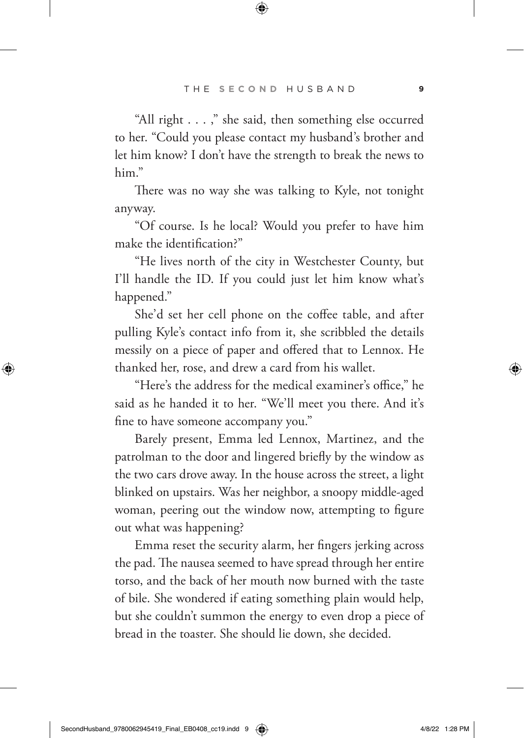"All right . . . ," she said, then something else occurred to her. "Could you please contact my husband's brother and let him know? I don't have the strength to break the news to him."

There was no way she was talking to Kyle, not tonight anyway.

"Of course. Is he local? Would you prefer to have him make the identification?"

"He lives north of the city in Westchester County, but I'll handle the ID. If you could just let him know what's happened."

She'd set her cell phone on the coffee table, and after pulling Kyle's contact info from it, she scribbled the details messily on a piece of paper and offered that to Lennox. He thanked her, rose, and drew a card from his wallet.

"Here's the address for the medical examiner's office," he said as he handed it to her. "We'll meet you there. And it's fine to have someone accompany you."

Barely present, Emma led Lennox, Martinez, and the patrolman to the door and lingered briefly by the window as the two cars drove away. In the house across the street, a light blinked on upstairs. Was her neighbor, a snoopy middle-aged woman, peering out the window now, attempting to figure out what was happening?

Emma reset the security alarm, her fingers jerking across the pad. The nausea seemed to have spread through her entire torso, and the back of her mouth now burned with the taste of bile. She wondered if eating something plain would help, but she couldn't summon the energy to even drop a piece of bread in the toaster. She should lie down, she decided.

⊕